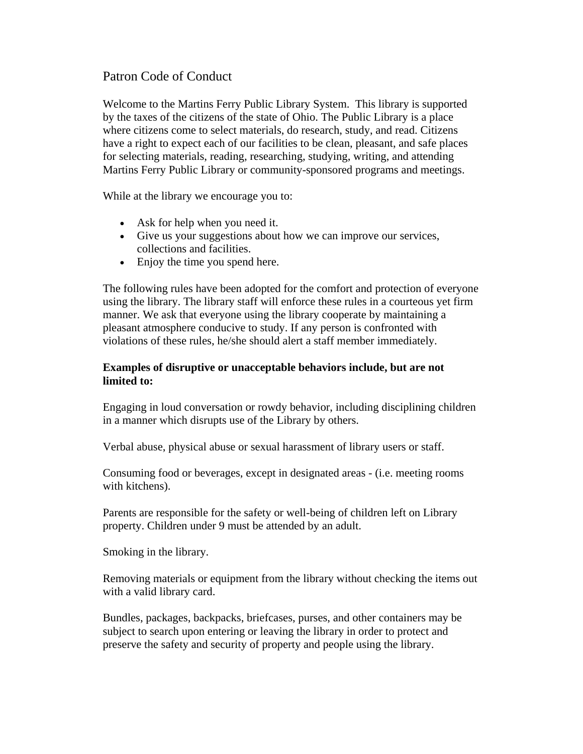# Patron Code of Conduct

Welcome to the Martins Ferry Public Library System. This library is supported by the taxes of the citizens of the state of Ohio. The Public Library is a place where citizens come to select materials, do research, study, and read. Citizens have a right to expect each of our facilities to be clean, pleasant, and safe places for selecting materials, reading, researching, studying, writing, and attending Martins Ferry Public Library or community-sponsored programs and meetings.

While at the library we encourage you to:

- Ask for help when you need it.
- Give us your suggestions about how we can improve our services, collections and facilities.
- Enjoy the time you spend here.

The following rules have been adopted for the comfort and protection of everyone using the library. The library staff will enforce these rules in a courteous yet firm manner. We ask that everyone using the library cooperate by maintaining a pleasant atmosphere conducive to study. If any person is confronted with violations of these rules, he/she should alert a staff member immediately.

#### **Examples of disruptive or unacceptable behaviors include, but are not limited to:**

Engaging in loud conversation or rowdy behavior, including disciplining children in a manner which disrupts use of the Library by others.

Verbal abuse, physical abuse or sexual harassment of library users or staff.

Consuming food or beverages, except in designated areas - (i.e. meeting rooms with kitchens).

Parents are responsible for the safety or well-being of children left on Library property. Children under 9 must be attended by an adult.

Smoking in the library.

Removing materials or equipment from the library without checking the items out with a valid library card.

Bundles, packages, backpacks, briefcases, purses, and other containers may be subject to search upon entering or leaving the library in order to protect and preserve the safety and security of property and people using the library.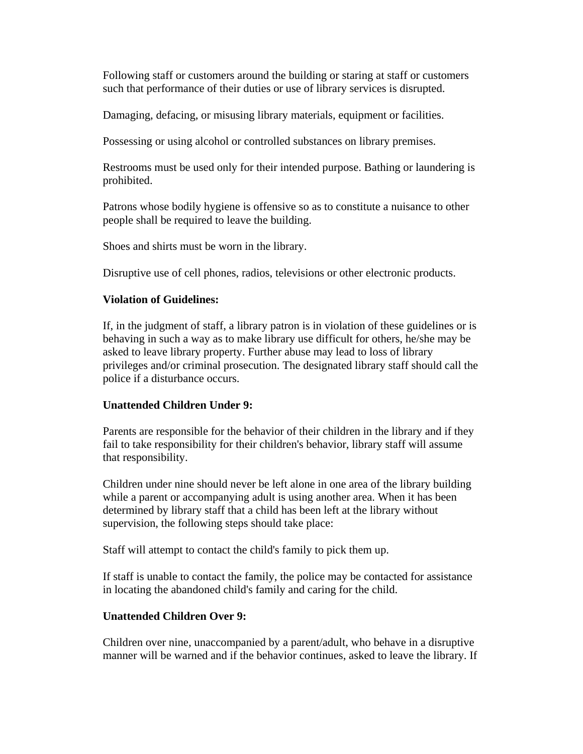Following staff or customers around the building or staring at staff or customers such that performance of their duties or use of library services is disrupted.

Damaging, defacing, or misusing library materials, equipment or facilities.

Possessing or using alcohol or controlled substances on library premises.

Restrooms must be used only for their intended purpose. Bathing or laundering is prohibited.

Patrons whose bodily hygiene is offensive so as to constitute a nuisance to other people shall be required to leave the building.

Shoes and shirts must be worn in the library.

Disruptive use of cell phones, radios, televisions or other electronic products.

#### **Violation of Guidelines:**

If, in the judgment of staff, a library patron is in violation of these guidelines or is behaving in such a way as to make library use difficult for others, he/she may be asked to leave library property. Further abuse may lead to loss of library privileges and/or criminal prosecution. The designated library staff should call the police if a disturbance occurs.

## **Unattended Children Under 9:**

Parents are responsible for the behavior of their children in the library and if they fail to take responsibility for their children's behavior, library staff will assume that responsibility.

Children under nine should never be left alone in one area of the library building while a parent or accompanying adult is using another area. When it has been determined by library staff that a child has been left at the library without supervision, the following steps should take place:

Staff will attempt to contact the child's family to pick them up.

If staff is unable to contact the family, the police may be contacted for assistance in locating the abandoned child's family and caring for the child.

## **Unattended Children Over 9:**

Children over nine, unaccompanied by a parent/adult, who behave in a disruptive manner will be warned and if the behavior continues, asked to leave the library. If